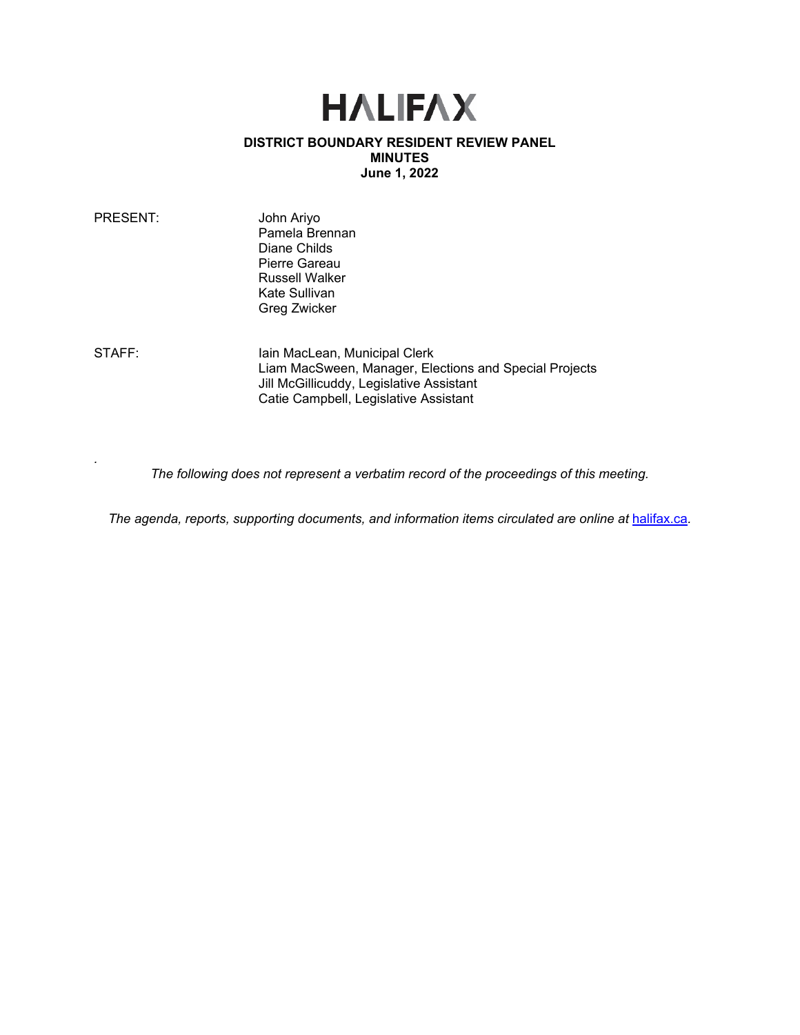# **HALIFAX**

## **DISTRICT BOUNDARY RESIDENT REVIEW PANEL MINUTES June 1, 2022**

| PRESENT:     | John Ariyo<br>Pamela Brennan<br>Diane Childs<br>Pierre Gareau<br><b>Russell Walker</b><br>Kate Sullivan<br>Greg Zwicker |  |
|--------------|-------------------------------------------------------------------------------------------------------------------------|--|
| <b>_____</b> |                                                                                                                         |  |

*.* 

STAFF: Iain MacLean, Municipal Clerk Liam MacSween, Manager, Elections and Special Projects Jill McGillicuddy, Legislative Assistant Catie Campbell, Legislative Assistant

*The following does not represent a verbatim record of the proceedings of this meeting.*

*The agenda, reports, supporting documents, and information items circulated are online at [halifax.ca](http://www.halifax.ca/).*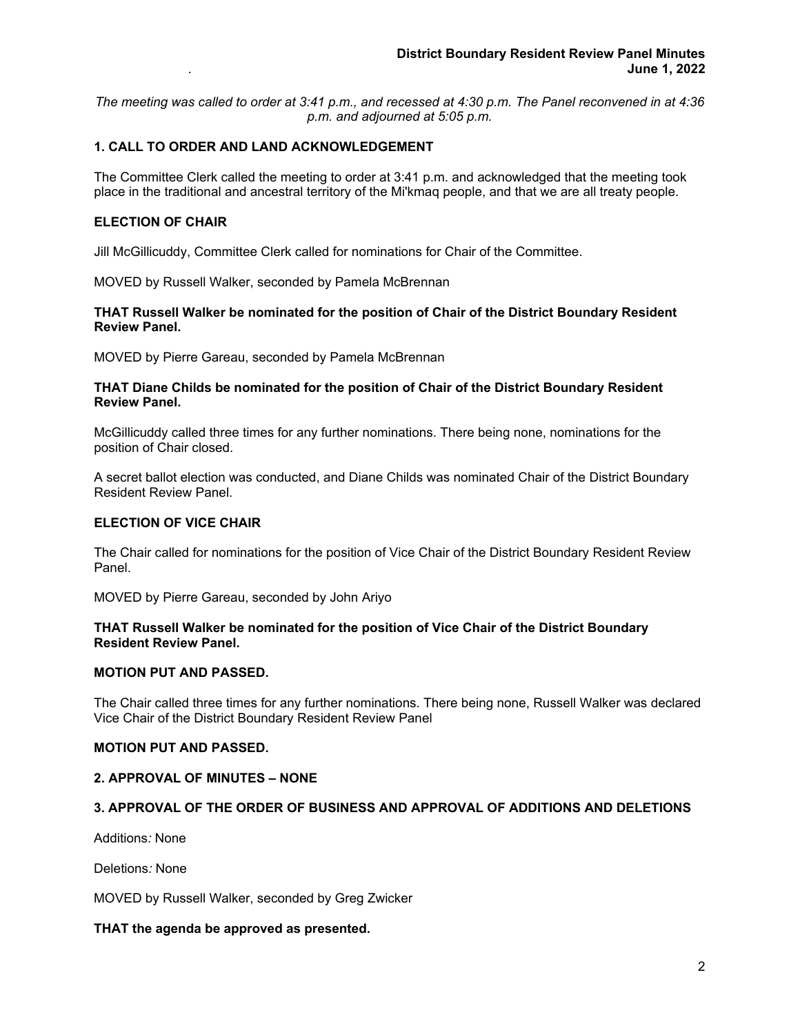*The meeting was called to order at 3:41 p.m., and recessed at 4:30 p.m. The Panel reconvened in at 4:36 p.m. and adjourned at 5:05 p.m.*

## **1. CALL TO ORDER AND LAND ACKNOWLEDGEMENT**

The Committee Clerk called the meeting to order at 3:41 p.m. and acknowledged that the meeting took place in the traditional and ancestral territory of the Mi'kmaq people, and that we are all treaty people.

#### **ELECTION OF CHAIR**

Jill McGillicuddy, Committee Clerk called for nominations for Chair of the Committee.

MOVED by Russell Walker, seconded by Pamela McBrennan

## **THAT Russell Walker be nominated for the position of Chair of the District Boundary Resident Review Panel.**

MOVED by Pierre Gareau, seconded by Pamela McBrennan

#### **THAT Diane Childs be nominated for the position of Chair of the District Boundary Resident Review Panel.**

McGillicuddy called three times for any further nominations. There being none, nominations for the position of Chair closed.

A secret ballot election was conducted, and Diane Childs was nominated Chair of the District Boundary Resident Review Panel.

## **ELECTION OF VICE CHAIR**

The Chair called for nominations for the position of Vice Chair of the District Boundary Resident Review Panel.

MOVED by Pierre Gareau, seconded by John Ariyo

## **THAT Russell Walker be nominated for the position of Vice Chair of the District Boundary Resident Review Panel.**

## **MOTION PUT AND PASSED.**

The Chair called three times for any further nominations. There being none, Russell Walker was declared Vice Chair of the District Boundary Resident Review Panel

## **MOTION PUT AND PASSED.**

#### **2. APPROVAL OF MINUTES – NONE**

## **3. APPROVAL OF THE ORDER OF BUSINESS AND APPROVAL OF ADDITIONS AND DELETIONS**

Additions*:* None

Deletions*:* None

MOVED by Russell Walker, seconded by Greg Zwicker

## **THAT the agenda be approved as presented.**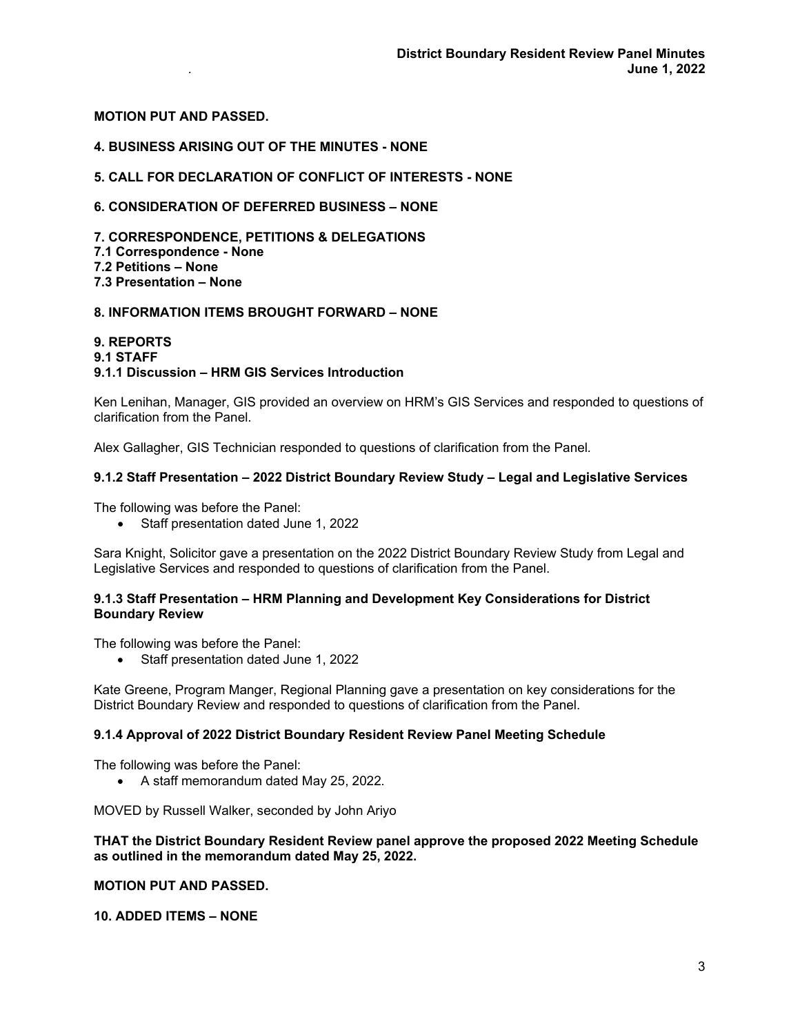## **MOTION PUT AND PASSED.**

## **4. BUSINESS ARISING OUT OF THE MINUTES - NONE**

## **5. CALL FOR DECLARATION OF CONFLICT OF INTERESTS - NONE**

## **6. CONSIDERATION OF DEFERRED BUSINESS – NONE**

**7. CORRESPONDENCE, PETITIONS & DELEGATIONS 7.1 Correspondence - None 7.2 Petitions – None 7.3 Presentation – None** 

## **8. INFORMATION ITEMS BROUGHT FORWARD – NONE**

#### **9. REPORTS 9.1 STAFF**

## **9.1.1 Discussion – HRM GIS Services Introduction**

Ken Lenihan, Manager, GIS provided an overview on HRM's GIS Services and responded to questions of clarification from the Panel.

Alex Gallagher, GIS Technician responded to questions of clarification from the Panel*.*

## **9.1.2 Staff Presentation – 2022 District Boundary Review Study – Legal and Legislative Services**

The following was before the Panel:

• Staff presentation dated June 1, 2022

Sara Knight, Solicitor gave a presentation on the 2022 District Boundary Review Study from Legal and Legislative Services and responded to questions of clarification from the Panel.

## **9.1.3 Staff Presentation – HRM Planning and Development Key Considerations for District Boundary Review**

The following was before the Panel:

• Staff presentation dated June 1, 2022

Kate Greene, Program Manger, Regional Planning gave a presentation on key considerations for the District Boundary Review and responded to questions of clarification from the Panel.

## **9.1.4 Approval of 2022 District Boundary Resident Review Panel Meeting Schedule**

The following was before the Panel:

• A staff memorandum dated May 25, 2022*.*

MOVED by Russell Walker, seconded by John Ariyo

## **THAT the District Boundary Resident Review panel approve the proposed 2022 Meeting Schedule as outlined in the memorandum dated May 25, 2022.**

## **MOTION PUT AND PASSED.**

**10. ADDED ITEMS – NONE**